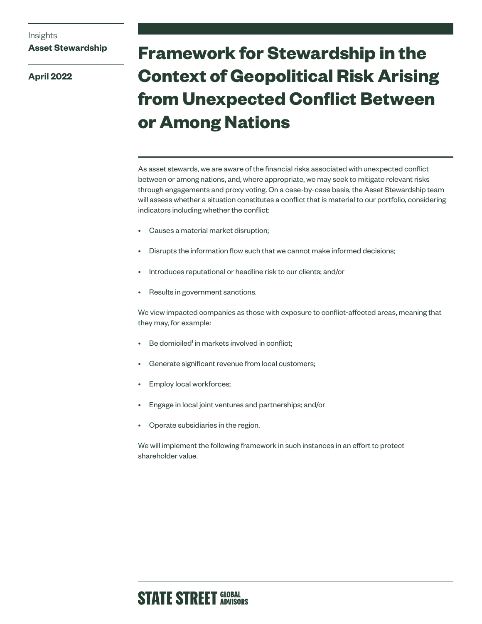### **Asset Stewardship**

**April 2022**

# **Framework for Stewardship in the Context of Geopolitical Risk Arising from Unexpected Conflict Between or Among Nations**

As asset stewards, we are aware of the financial risks associated with unexpected conflict between or among nations, and, where appropriate, we may seek to mitigate relevant risks through engagements and proxy voting. On a case-by-case basis, the Asset Stewardship team will assess whether a situation constitutes a conflict that is material to our portfolio, considering indicators including whether the conflict:

- Causes a material market disruption;
- Disrupts the information flow such that we cannot make informed decisions;
- Introduces reputational or headline risk to our clients; and/or
- Results in government sanctions.

We view impacted companies as those with exposure to conflict-affected areas, meaning that they may, for example:

- Be domiciled<sup>1</sup> in markets involved in conflict;
- Generate significant revenue from local customers;
- Employ local workforces;
- Engage in local joint ventures and partnerships; and/or
- Operate subsidiaries in the region.

We will implement the following framework in such instances in an effort to protect shareholder value.

## **STATE STREET GLOBAL**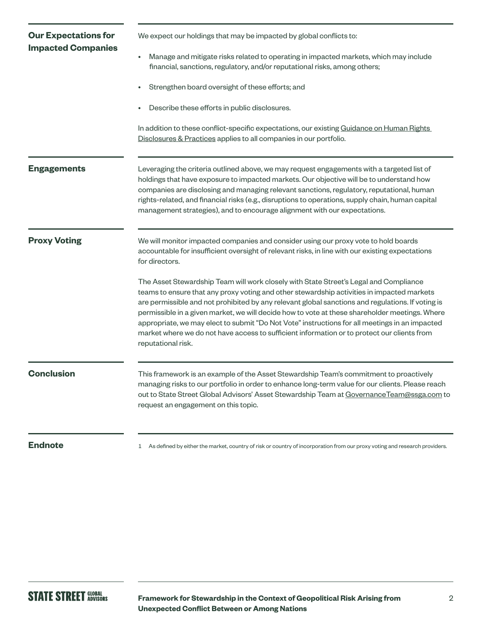| <b>Our Expectations for</b><br><b>Impacted Companies</b> | We expect our holdings that may be impacted by global conflicts to:                                                                                                                                                                                                                                                                                                                                                                                                                                                                                                                                               |
|----------------------------------------------------------|-------------------------------------------------------------------------------------------------------------------------------------------------------------------------------------------------------------------------------------------------------------------------------------------------------------------------------------------------------------------------------------------------------------------------------------------------------------------------------------------------------------------------------------------------------------------------------------------------------------------|
|                                                          | Manage and mitigate risks related to operating in impacted markets, which may include<br>financial, sanctions, regulatory, and/or reputational risks, among others;                                                                                                                                                                                                                                                                                                                                                                                                                                               |
|                                                          | Strengthen board oversight of these efforts; and                                                                                                                                                                                                                                                                                                                                                                                                                                                                                                                                                                  |
|                                                          | Describe these efforts in public disclosures.                                                                                                                                                                                                                                                                                                                                                                                                                                                                                                                                                                     |
|                                                          | In addition to these conflict-specific expectations, our existing Guidance on Human Rights<br>Disclosures & Practices applies to all companies in our portfolio.                                                                                                                                                                                                                                                                                                                                                                                                                                                  |
| <b>Engagements</b>                                       | Leveraging the criteria outlined above, we may request engagements with a targeted list of<br>holdings that have exposure to impacted markets. Our objective will be to understand how<br>companies are disclosing and managing relevant sanctions, regulatory, reputational, human<br>rights-related, and financial risks (e.g., disruptions to operations, supply chain, human capital<br>management strategies), and to encourage alignment with our expectations.                                                                                                                                             |
| <b>Proxy Voting</b>                                      | We will monitor impacted companies and consider using our proxy vote to hold boards<br>accountable for insufficient oversight of relevant risks, in line with our existing expectations<br>for directors.                                                                                                                                                                                                                                                                                                                                                                                                         |
|                                                          | The Asset Stewardship Team will work closely with State Street's Legal and Compliance<br>teams to ensure that any proxy voting and other stewardship activities in impacted markets<br>are permissible and not prohibited by any relevant global sanctions and regulations. If voting is<br>permissible in a given market, we will decide how to vote at these shareholder meetings. Where<br>appropriate, we may elect to submit "Do Not Vote" instructions for all meetings in an impacted<br>market where we do not have access to sufficient information or to protect our clients from<br>reputational risk. |
| <b>Conclusion</b>                                        | This framework is an example of the Asset Stewardship Team's commitment to proactively<br>managing risks to our portfolio in order to enhance long-term value for our clients. Please reach<br>out to State Street Global Advisors' Asset Stewardship Team at Governance Team@ssga.com to<br>request an engagement on this topic.                                                                                                                                                                                                                                                                                 |
|                                                          |                                                                                                                                                                                                                                                                                                                                                                                                                                                                                                                                                                                                                   |

**Endnote** and the state of the market, country of risk or country of incorporation from our proxy voting and research providers.